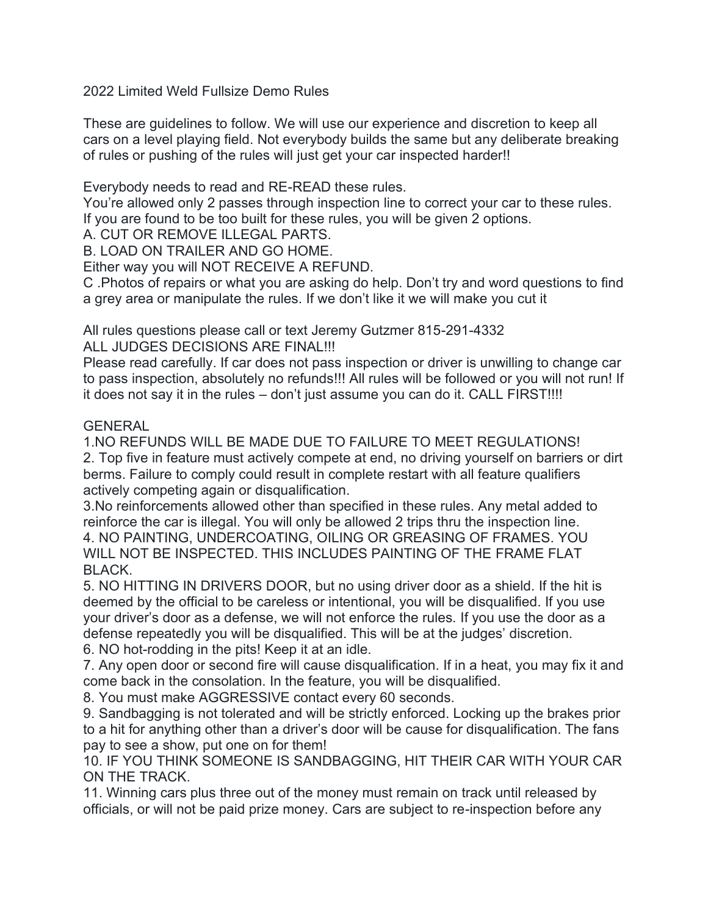2022 Limited Weld Fullsize Demo Rules

These are guidelines to follow. We will use our experience and discretion to keep all cars on a level playing field. Not everybody builds the same but any deliberate breaking of rules or pushing of the rules will just get your car inspected harder!!

Everybody needs to read and RE-READ these rules.

You're allowed only 2 passes through inspection line to correct your car to these rules. If you are found to be too built for these rules, you will be given 2 options.

A. CUT OR REMOVE ILLEGAL PARTS.

B. LOAD ON TRAILER AND GO HOME.

Either way you will NOT RECEIVE A REFUND.

C .Photos of repairs or what you are asking do help. Don't try and word questions to find a grey area or manipulate the rules. If we don't like it we will make you cut it

All rules questions please call or text Jeremy Gutzmer 815-291-4332

ALL JUDGES DECISIONS ARE FINAL!!!

Please read carefully. If car does not pass inspection or driver is unwilling to change car to pass inspection, absolutely no refunds!!! All rules will be followed or you will not run! If it does not say it in the rules – don't just assume you can do it. CALL FIRST!!!!

#### **GENERAL**

1.NO REFUNDS WILL BE MADE DUE TO FAILURE TO MEET REGULATIONS! 2. Top five in feature must actively compete at end, no driving yourself on barriers or dirt berms. Failure to comply could result in complete restart with all feature qualifiers actively competing again or disqualification.

3.No reinforcements allowed other than specified in these rules. Any metal added to reinforce the car is illegal. You will only be allowed 2 trips thru the inspection line. 4. NO PAINTING, UNDERCOATING, OILING OR GREASING OF FRAMES. YOU WILL NOT BE INSPECTED. THIS INCLUDES PAINTING OF THE FRAME FLAT BLACK.

5. NO HITTING IN DRIVERS DOOR, but no using driver door as a shield. If the hit is deemed by the official to be careless or intentional, you will be disqualified. If you use your driver's door as a defense, we will not enforce the rules. If you use the door as a defense repeatedly you will be disqualified. This will be at the judges' discretion. 6. NO hot-rodding in the pits! Keep it at an idle.

7. Any open door or second fire will cause disqualification. If in a heat, you may fix it and come back in the consolation. In the feature, you will be disqualified.

8. You must make AGGRESSIVE contact every 60 seconds.

9. Sandbagging is not tolerated and will be strictly enforced. Locking up the brakes prior to a hit for anything other than a driver's door will be cause for disqualification. The fans pay to see a show, put one on for them!

10. IF YOU THINK SOMEONE IS SANDBAGGING, HIT THEIR CAR WITH YOUR CAR ON THE TRACK.

11. Winning cars plus three out of the money must remain on track until released by officials, or will not be paid prize money. Cars are subject to re-inspection before any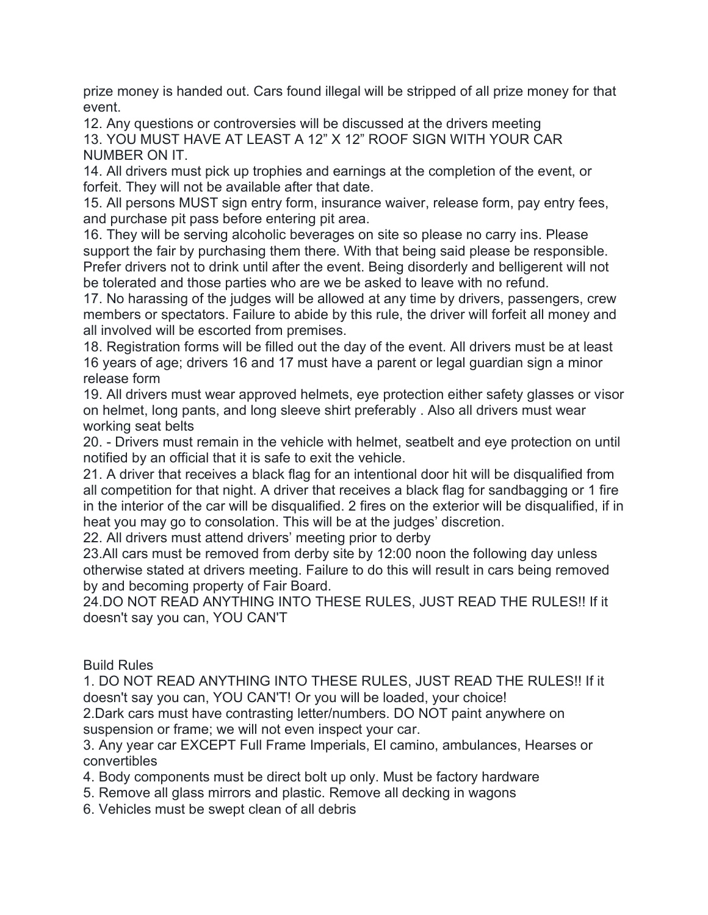prize money is handed out. Cars found illegal will be stripped of all prize money for that event.

12. Any questions or controversies will be discussed at the drivers meeting 13. YOU MUST HAVE AT LEAST A 12" X 12" ROOF SIGN WITH YOUR CAR NUMBER ON IT.

14. All drivers must pick up trophies and earnings at the completion of the event, or forfeit. They will not be available after that date.

15. All persons MUST sign entry form, insurance waiver, release form, pay entry fees, and purchase pit pass before entering pit area.

16. They will be serving alcoholic beverages on site so please no carry ins. Please support the fair by purchasing them there. With that being said please be responsible. Prefer drivers not to drink until after the event. Being disorderly and belligerent will not be tolerated and those parties who are we be asked to leave with no refund.

17. No harassing of the judges will be allowed at any time by drivers, passengers, crew members or spectators. Failure to abide by this rule, the driver will forfeit all money and all involved will be escorted from premises.

18. Registration forms will be filled out the day of the event. All drivers must be at least 16 years of age; drivers 16 and 17 must have a parent or legal guardian sign a minor release form

19. All drivers must wear approved helmets, eye protection either safety glasses or visor on helmet, long pants, and long sleeve shirt preferably . Also all drivers must wear working seat belts

20. - Drivers must remain in the vehicle with helmet, seatbelt and eye protection on until notified by an official that it is safe to exit the vehicle.

21. A driver that receives a black flag for an intentional door hit will be disqualified from all competition for that night. A driver that receives a black flag for sandbagging or 1 fire in the interior of the car will be disqualified. 2 fires on the exterior will be disqualified, if in heat you may go to consolation. This will be at the judges' discretion.

22. All drivers must attend drivers' meeting prior to derby

23.All cars must be removed from derby site by 12:00 noon the following day unless otherwise stated at drivers meeting. Failure to do this will result in cars being removed by and becoming property of Fair Board.

24.DO NOT READ ANYTHING INTO THESE RULES, JUST READ THE RULES!! If it doesn't say you can, YOU CAN'T

Build Rules

1. DO NOT READ ANYTHING INTO THESE RULES, JUST READ THE RULES!! If it doesn't say you can, YOU CAN'T! Or you will be loaded, your choice!

2.Dark cars must have contrasting letter/numbers. DO NOT paint anywhere on suspension or frame; we will not even inspect your car.

3. Any year car EXCEPT Full Frame Imperials, El camino, ambulances, Hearses or convertibles

4. Body components must be direct bolt up only. Must be factory hardware

- 5. Remove all glass mirrors and plastic. Remove all decking in wagons
- 6. Vehicles must be swept clean of all debris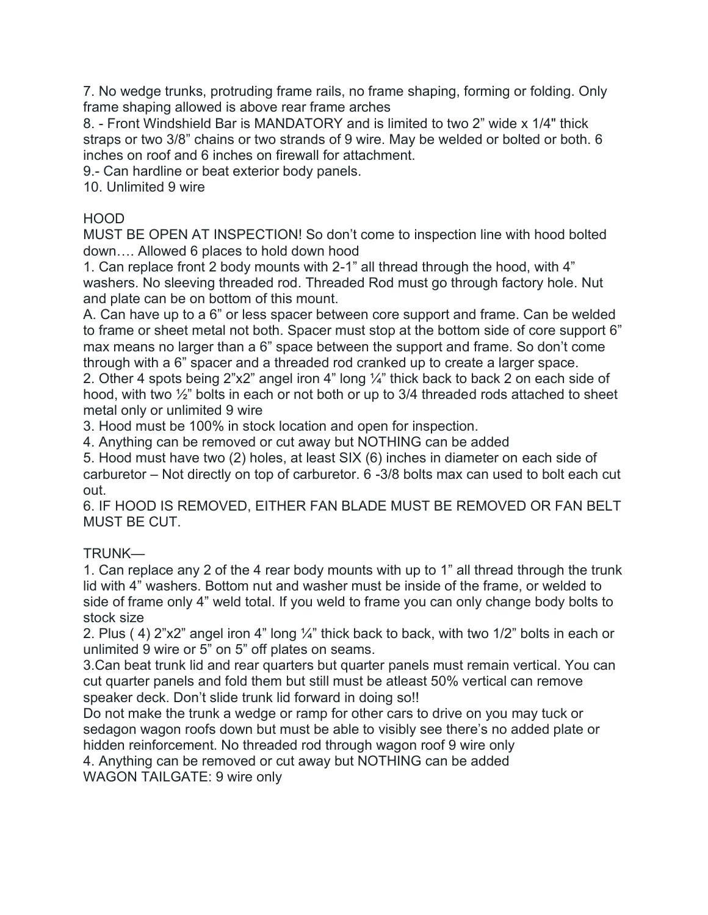7. No wedge trunks, protruding frame rails, no frame shaping, forming or folding. Only frame shaping allowed is above rear frame arches

8. - Front Windshield Bar is MANDATORY and is limited to two 2" wide x 1/4" thick straps or two 3/8" chains or two strands of 9 wire. May be welded or bolted or both. 6 inches on roof and 6 inches on firewall for attachment.

9.- Can hardline or beat exterior body panels.

10. Unlimited 9 wire

### HOOD

MUST BE OPEN AT INSPECTION! So don't come to inspection line with hood bolted down…. Allowed 6 places to hold down hood

1. Can replace front 2 body mounts with 2-1" all thread through the hood, with 4" washers. No sleeving threaded rod. Threaded Rod must go through factory hole. Nut and plate can be on bottom of this mount.

A. Can have up to a 6" or less spacer between core support and frame. Can be welded to frame or sheet metal not both. Spacer must stop at the bottom side of core support 6" max means no larger than a 6" space between the support and frame. So don't come through with a 6" spacer and a threaded rod cranked up to create a larger space.

2. Other 4 spots being  $2"x2"$  angel iron 4" long  $\frac{1}{4}$ " thick back to back 2 on each side of hood, with two ½" bolts in each or not both or up to 3/4 threaded rods attached to sheet metal only or unlimited 9 wire

3. Hood must be 100% in stock location and open for inspection.

4. Anything can be removed or cut away but NOTHING can be added

5. Hood must have two (2) holes, at least SIX (6) inches in diameter on each side of carburetor – Not directly on top of carburetor. 6 -3/8 bolts max can used to bolt each cut out.

6. IF HOOD IS REMOVED, EITHER FAN BLADE MUST BE REMOVED OR FAN BELT MUST BE CUT.

## TRUNK—

1. Can replace any 2 of the 4 rear body mounts with up to 1" all thread through the trunk lid with 4" washers. Bottom nut and washer must be inside of the frame, or welded to side of frame only 4" weld total. If you weld to frame you can only change body bolts to stock size

2. Plus ( 4) 2"x2" angel iron 4" long ¼" thick back to back, with two 1/2" bolts in each or unlimited 9 wire or 5" on 5" off plates on seams.

3.Can beat trunk lid and rear quarters but quarter panels must remain vertical. You can cut quarter panels and fold them but still must be atleast 50% vertical can remove speaker deck. Don't slide trunk lid forward in doing so!!

Do not make the trunk a wedge or ramp for other cars to drive on you may tuck or sedagon wagon roofs down but must be able to visibly see there's no added plate or hidden reinforcement. No threaded rod through wagon roof 9 wire only

4. Anything can be removed or cut away but NOTHING can be added WAGON TAILGATE: 9 wire only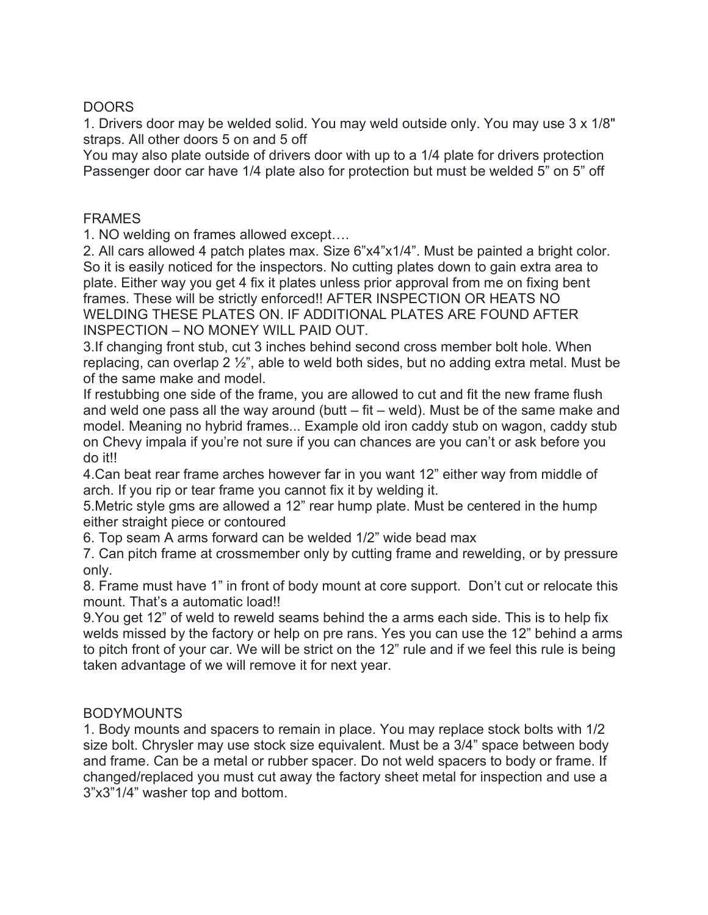### DOORS

1. Drivers door may be welded solid. You may weld outside only. You may use 3 x 1/8" straps. All other doors 5 on and 5 off

You may also plate outside of drivers door with up to a 1/4 plate for drivers protection Passenger door car have 1/4 plate also for protection but must be welded 5" on 5" off

#### FRAMES

1. NO welding on frames allowed except….

2. All cars allowed 4 patch plates max. Size 6"x4"x1/4". Must be painted a bright color. So it is easily noticed for the inspectors. No cutting plates down to gain extra area to plate. Either way you get 4 fix it plates unless prior approval from me on fixing bent frames. These will be strictly enforced!! AFTER INSPECTION OR HEATS NO WELDING THESE PLATES ON. IF ADDITIONAL PLATES ARE FOUND AFTER INSPECTION – NO MONEY WILL PAID OUT.

3.If changing front stub, cut 3 inches behind second cross member bolt hole. When replacing, can overlap 2 ½", able to weld both sides, but no adding extra metal. Must be of the same make and model.

If restubbing one side of the frame, you are allowed to cut and fit the new frame flush and weld one pass all the way around (butt  $-$  fit  $-$  weld). Must be of the same make and model. Meaning no hybrid frames... Example old iron caddy stub on wagon, caddy stub on Chevy impala if you're not sure if you can chances are you can't or ask before you do it!!

4.Can beat rear frame arches however far in you want 12" either way from middle of arch. If you rip or tear frame you cannot fix it by welding it.

5.Metric style gms are allowed a 12" rear hump plate. Must be centered in the hump either straight piece or contoured

6. Top seam A arms forward can be welded 1/2" wide bead max

7. Can pitch frame at crossmember only by cutting frame and rewelding, or by pressure only.

8. Frame must have 1" in front of body mount at core support. Don't cut or relocate this mount. That's a automatic load!!

9.You get 12" of weld to reweld seams behind the a arms each side. This is to help fix welds missed by the factory or help on pre rans. Yes you can use the 12" behind a arms to pitch front of your car. We will be strict on the 12" rule and if we feel this rule is being taken advantage of we will remove it for next year.

## BODYMOUNTS

1. Body mounts and spacers to remain in place. You may replace stock bolts with 1/2 size bolt. Chrysler may use stock size equivalent. Must be a 3/4" space between body and frame. Can be a metal or rubber spacer. Do not weld spacers to body or frame. If changed/replaced you must cut away the factory sheet metal for inspection and use a 3"x3"1/4" washer top and bottom.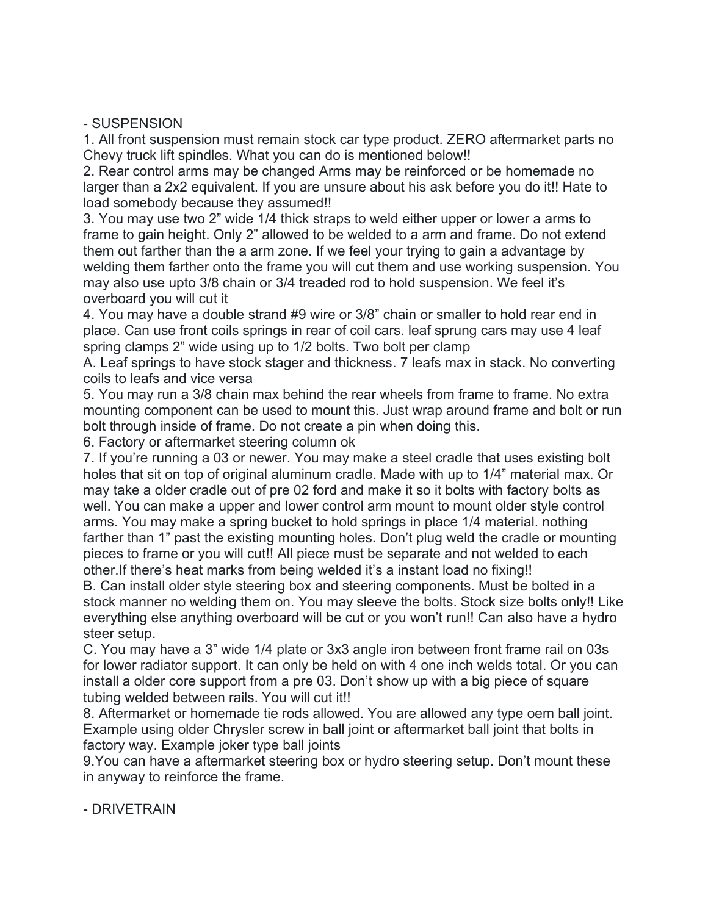#### - SUSPENSION

1. All front suspension must remain stock car type product. ZERO aftermarket parts no Chevy truck lift spindles. What you can do is mentioned below!!

2. Rear control arms may be changed Arms may be reinforced or be homemade no larger than a 2x2 equivalent. If you are unsure about his ask before you do it!! Hate to load somebody because they assumed!!

3. You may use two 2" wide 1/4 thick straps to weld either upper or lower a arms to frame to gain height. Only 2" allowed to be welded to a arm and frame. Do not extend them out farther than the a arm zone. If we feel your trying to gain a advantage by welding them farther onto the frame you will cut them and use working suspension. You may also use upto 3/8 chain or 3/4 treaded rod to hold suspension. We feel it's overboard you will cut it

4. You may have a double strand #9 wire or 3/8" chain or smaller to hold rear end in place. Can use front coils springs in rear of coil cars. leaf sprung cars may use 4 leaf spring clamps 2" wide using up to 1/2 bolts. Two bolt per clamp

A. Leaf springs to have stock stager and thickness. 7 leafs max in stack. No converting coils to leafs and vice versa

5. You may run a 3/8 chain max behind the rear wheels from frame to frame. No extra mounting component can be used to mount this. Just wrap around frame and bolt or run bolt through inside of frame. Do not create a pin when doing this.

6. Factory or aftermarket steering column ok

7. If you're running a 03 or newer. You may make a steel cradle that uses existing bolt holes that sit on top of original aluminum cradle. Made with up to 1/4" material max. Or may take a older cradle out of pre 02 ford and make it so it bolts with factory bolts as well. You can make a upper and lower control arm mount to mount older style control arms. You may make a spring bucket to hold springs in place 1/4 material. nothing farther than 1" past the existing mounting holes. Don't plug weld the cradle or mounting pieces to frame or you will cut!! All piece must be separate and not welded to each other.If there's heat marks from being welded it's a instant load no fixing!!

B. Can install older style steering box and steering components. Must be bolted in a stock manner no welding them on. You may sleeve the bolts. Stock size bolts only!! Like everything else anything overboard will be cut or you won't run!! Can also have a hydro steer setup.

C. You may have a 3" wide 1/4 plate or 3x3 angle iron between front frame rail on 03s for lower radiator support. It can only be held on with 4 one inch welds total. Or you can install a older core support from a pre 03. Don't show up with a big piece of square tubing welded between rails. You will cut it!!

8. Aftermarket or homemade tie rods allowed. You are allowed any type oem ball joint. Example using older Chrysler screw in ball joint or aftermarket ball joint that bolts in factory way. Example joker type ball joints

9.You can have a aftermarket steering box or hydro steering setup. Don't mount these in anyway to reinforce the frame.

- DRIVETRAIN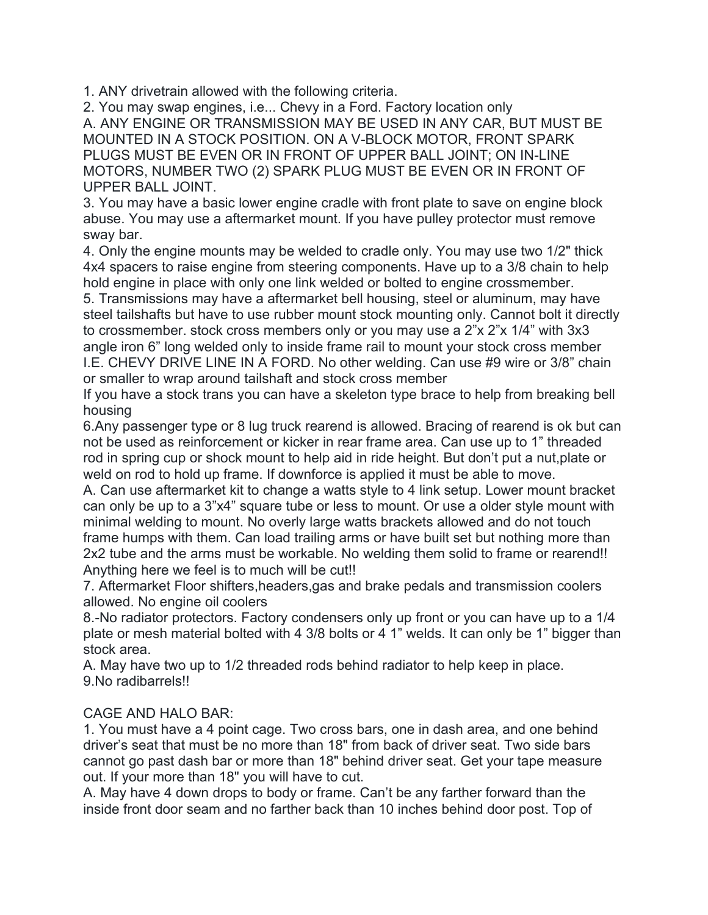1. ANY drivetrain allowed with the following criteria.

2. You may swap engines, i.e... Chevy in a Ford. Factory location only

A. ANY ENGINE OR TRANSMISSION MAY BE USED IN ANY CAR, BUT MUST BE MOUNTED IN A STOCK POSITION. ON A V-BLOCK MOTOR, FRONT SPARK PLUGS MUST BE EVEN OR IN FRONT OF UPPER BALL JOINT; ON IN-LINE MOTORS, NUMBER TWO (2) SPARK PLUG MUST BE EVEN OR IN FRONT OF UPPER BALL JOINT.

3. You may have a basic lower engine cradle with front plate to save on engine block abuse. You may use a aftermarket mount. If you have pulley protector must remove sway bar.

4. Only the engine mounts may be welded to cradle only. You may use two 1/2" thick 4x4 spacers to raise engine from steering components. Have up to a 3/8 chain to help hold engine in place with only one link welded or bolted to engine crossmember.

5. Transmissions may have a aftermarket bell housing, steel or aluminum, may have steel tailshafts but have to use rubber mount stock mounting only. Cannot bolt it directly to crossmember. stock cross members only or you may use a 2"x 2"x 1/4" with 3x3 angle iron 6" long welded only to inside frame rail to mount your stock cross member I.E. CHEVY DRIVE LINE IN A FORD. No other welding. Can use #9 wire or 3/8" chain or smaller to wrap around tailshaft and stock cross member

If you have a stock trans you can have a skeleton type brace to help from breaking bell housing

6.Any passenger type or 8 lug truck rearend is allowed. Bracing of rearend is ok but can not be used as reinforcement or kicker in rear frame area. Can use up to 1" threaded rod in spring cup or shock mount to help aid in ride height. But don't put a nut,plate or weld on rod to hold up frame. If downforce is applied it must be able to move.

A. Can use aftermarket kit to change a watts style to 4 link setup. Lower mount bracket can only be up to a 3"x4" square tube or less to mount. Or use a older style mount with minimal welding to mount. No overly large watts brackets allowed and do not touch frame humps with them. Can load trailing arms or have built set but nothing more than 2x2 tube and the arms must be workable. No welding them solid to frame or rearend!! Anything here we feel is to much will be cut!!

7. Aftermarket Floor shifters,headers,gas and brake pedals and transmission coolers allowed. No engine oil coolers

8.-No radiator protectors. Factory condensers only up front or you can have up to a 1/4 plate or mesh material bolted with 4 3/8 bolts or 4 1" welds. It can only be 1" bigger than stock area.

A. May have two up to 1/2 threaded rods behind radiator to help keep in place. 9.No radibarrels!!

# CAGE AND HALO BAR:

1. You must have a 4 point cage. Two cross bars, one in dash area, and one behind driver's seat that must be no more than 18" from back of driver seat. Two side bars cannot go past dash bar or more than 18" behind driver seat. Get your tape measure out. If your more than 18" you will have to cut.

A. May have 4 down drops to body or frame. Can't be any farther forward than the inside front door seam and no farther back than 10 inches behind door post. Top of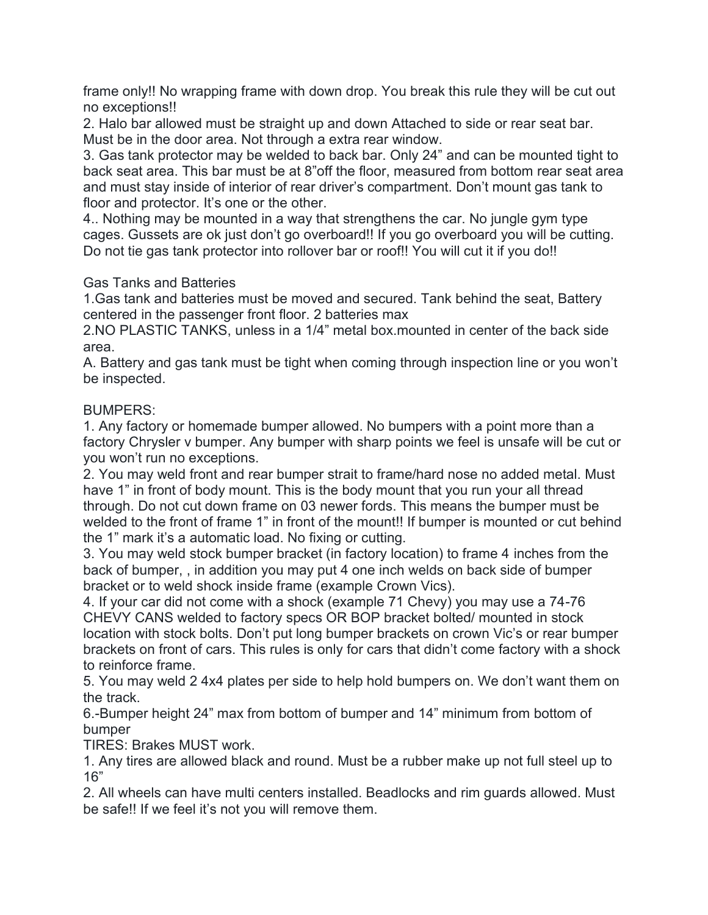frame only!! No wrapping frame with down drop. You break this rule they will be cut out no exceptions!!

2. Halo bar allowed must be straight up and down Attached to side or rear seat bar. Must be in the door area. Not through a extra rear window.

3. Gas tank protector may be welded to back bar. Only 24" and can be mounted tight to back seat area. This bar must be at 8"off the floor, measured from bottom rear seat area and must stay inside of interior of rear driver's compartment. Don't mount gas tank to floor and protector. It's one or the other.

4.. Nothing may be mounted in a way that strengthens the car. No jungle gym type cages. Gussets are ok just don't go overboard!! If you go overboard you will be cutting. Do not tie gas tank protector into rollover bar or roof!! You will cut it if you do!!

Gas Tanks and Batteries

1.Gas tank and batteries must be moved and secured. Tank behind the seat, Battery centered in the passenger front floor. 2 batteries max

2.NO PLASTIC TANKS, unless in a 1/4" metal box.mounted in center of the back side area.

A. Battery and gas tank must be tight when coming through inspection line or you won't be inspected.

## BUMPERS:

1. Any factory or homemade bumper allowed. No bumpers with a point more than a factory Chrysler v bumper. Any bumper with sharp points we feel is unsafe will be cut or you won't run no exceptions.

2. You may weld front and rear bumper strait to frame/hard nose no added metal. Must have 1" in front of body mount. This is the body mount that you run your all thread through. Do not cut down frame on 03 newer fords. This means the bumper must be welded to the front of frame 1" in front of the mount!! If bumper is mounted or cut behind the 1" mark it's a automatic load. No fixing or cutting.

3. You may weld stock bumper bracket (in factory location) to frame 4 inches from the back of bumper, , in addition you may put 4 one inch welds on back side of bumper bracket or to weld shock inside frame (example Crown Vics).

4. If your car did not come with a shock (example 71 Chevy) you may use a 74-76 CHEVY CANS welded to factory specs OR BOP bracket bolted/ mounted in stock location with stock bolts. Don't put long bumper brackets on crown Vic's or rear bumper brackets on front of cars. This rules is only for cars that didn't come factory with a shock to reinforce frame.

5. You may weld 2 4x4 plates per side to help hold bumpers on. We don't want them on the track.

6.-Bumper height 24" max from bottom of bumper and 14" minimum from bottom of bumper

TIRES: Brakes MUST work.

1. Any tires are allowed black and round. Must be a rubber make up not full steel up to 16"

2. All wheels can have multi centers installed. Beadlocks and rim guards allowed. Must be safe!! If we feel it's not you will remove them.